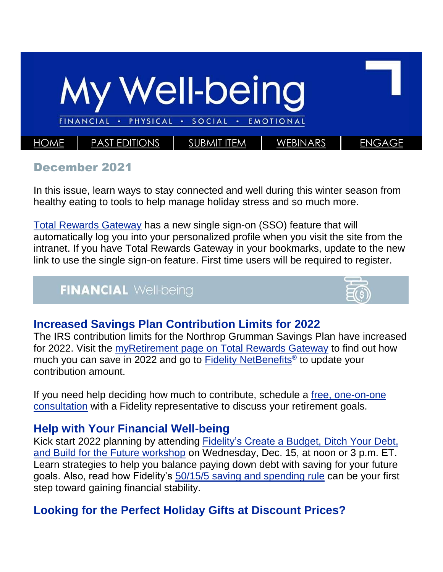

#### December 2021

In this issue, learn ways to stay connected and well during this winter season from healthy eating to tools to help manage holiday stress and so much more.

[Total Rewards Gateway](https://politemail.northgrum.com/PoliteMail/default.aspx?page=72D2vDqsU0O9egU4sJPZ1Q&ref_id=rkX-TTYY9EygMXYyRQQ9ww) has a new single sign-on (SSO) feature that will automatically log you into your personalized profile when you visit the site from the intranet. If you have Total Rewards Gateway in your bookmarks, update to the new link to use the single sign-on feature. First time users will be required to register.

### **FINANCIAL Well-being**



#### **Increased Savings Plan Contribution Limits for 2022**

The IRS contribution limits for the Northrop Grumman Savings Plan have increased for 2022. Visit the [myRetirement page on Total Rewards Gateway](https://politemail.northgrum.com/PoliteMail/default.aspx?page=Vj-huqjRYUehEv0WmTzKoA&ref_id=rkX-TTYY9EygMXYyRQQ9ww) to find out how much you can save in 2022 and go to **Fidelity NetBenefits<sup>®</sup> to update your** contribution amount.

If you need help deciding how much to contribute, schedule a [free, one-on-one](https://politemail.northgrum.com/PoliteMail/default.aspx?page=RtlKr9C7W0m0Pk6dEKqntQ&ref_id=rkX-TTYY9EygMXYyRQQ9ww)  [consultation](https://politemail.northgrum.com/PoliteMail/default.aspx?page=RtlKr9C7W0m0Pk6dEKqntQ&ref_id=rkX-TTYY9EygMXYyRQQ9ww) with a Fidelity representative to discuss your retirement goals.

#### **Help with Your Financial Well-being**

Kick start 2022 planning by attending Fidelity's Create a [Budget, Ditch Your Debt,](https://politemail.northgrum.com/PoliteMail/default.aspx?page=WT91nMSSHUy9_5NTDZ8_aA&ref_id=rkX-TTYY9EygMXYyRQQ9ww)  [and Build for the Future workshop](https://politemail.northgrum.com/PoliteMail/default.aspx?page=WT91nMSSHUy9_5NTDZ8_aA&ref_id=rkX-TTYY9EygMXYyRQQ9ww) on Wednesday, Dec. 15, at noon or 3 p.m. ET. Learn strategies to help you balance paying down debt with saving for your future goals. Also, read how Fidelity's [50/15/5 saving and spending rule](https://politemail.northgrum.com/PoliteMail/default.aspx?page=CPMBx8ox9UeoHcOAC-3Y5A&ref_id=rkX-TTYY9EygMXYyRQQ9ww) can be your first step toward gaining financial stability.

### **Looking for the Perfect Holiday Gifts at Discount Prices?**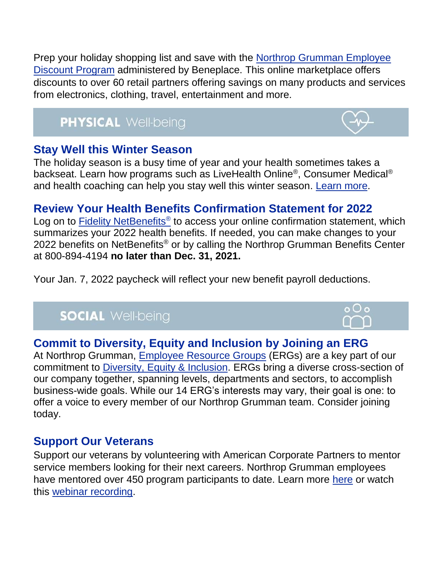Prep your holiday shopping list and save with the [Northrop Grumman Employee](https://politemail.northgrum.com/PoliteMail/default.aspx?page=u_IJkrCuw0GVLzC4soEfPA&ref_id=rkX-TTYY9EygMXYyRQQ9ww)  [Discount Program](https://politemail.northgrum.com/PoliteMail/default.aspx?page=u_IJkrCuw0GVLzC4soEfPA&ref_id=rkX-TTYY9EygMXYyRQQ9ww) administered by Beneplace. This online marketplace offers discounts to over 60 retail partners offering savings on many products and services from electronics, clothing, travel, entertainment and more.

# **PHYSICAL Well-being**

### **Stay Well this Winter Season**

The holiday season is a busy time of year and your health sometimes takes a backseat. Learn how programs such as LiveHealth Online®, Consumer Medical® and health coaching can help you stay well this winter season. [Learn more.](https://politemail.northgrum.com/PoliteMail/default.aspx?page=hoGAS5wsm0Wj5y_SRoRv7g&ref_id=rkX-TTYY9EygMXYyRQQ9ww)

# **Review Your Health Benefits Confirmation Statement for 2022**

Log on to **Fidelity NetBenefits<sup>®</sup> to access your online confirmation statement**, which summarizes your 2022 health benefits. If needed, you can make changes to your 2022 benefits on NetBenefits<sup>®</sup> or by calling the Northrop Grumman Benefits Center at 800-894-4194 **no later than Dec. 31, 2021.** 

Your Jan. 7, 2022 paycheck will reflect your new benefit payroll deductions.

# **SOCIAL Well-being**

## **Commit to Diversity, Equity and Inclusion by Joining an ERG**

At Northrop Grumman, [Employee Resource Groups](https://politemail.northgrum.com/PoliteMail/default.aspx?page=iPqNZmn3V0Cm8cR0RY2JEw&ref_id=rkX-TTYY9EygMXYyRQQ9ww) (ERGs) are a key part of our commitment to [Diversity, Equity & Inclusion.](https://politemail.northgrum.com/PoliteMail/default.aspx?page=vXNFNVla6UKPJSe5G4jvVw&ref_id=rkX-TTYY9EygMXYyRQQ9ww) ERGs bring a diverse cross-section of our company together, spanning levels, departments and sectors, to accomplish business-wide goals. While our 14 ERG's interests may vary, their goal is one: to offer a voice to every member of our Northrop Grumman team. Consider joining today.

### **Support Our Veterans**

Support our veterans by volunteering with American Corporate Partners to mentor service members looking for their next careers. Northrop Grumman employees have mentored over 450 program participants to date. Learn more [here](https://politemail.northgrum.com/PoliteMail/default.aspx?page=dMI0GLT4UkyzIy-OBbH6WA&ref_id=rkX-TTYY9EygMXYyRQQ9ww) or watch this [webinar recording.](https://politemail.northgrum.com/PoliteMail/default.aspx?page=84xPU4TSeU6EeCrbfo4gTg&ref_id=rkX-TTYY9EygMXYyRQQ9ww)



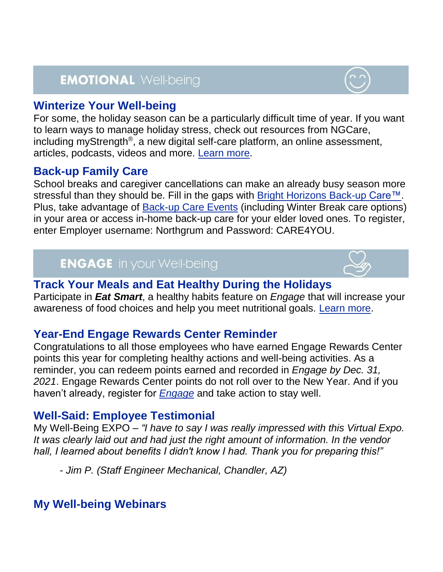# **EMOTIONAL Well-being**

#### **Winterize Your Well-being**

For some, the holiday season can be a particularly difficult time of year. If you want to learn ways to manage holiday stress, check out resources from NGCare, including myStrength®, a new digital self-care platform, an online assessment, articles, podcasts, videos and more. [Learn more.](https://politemail.northgrum.com/PoliteMail/default.aspx?page=rGkQjCGkKEmAOsVfmoHQWA&ref_id=rkX-TTYY9EygMXYyRQQ9ww)

#### **Back-up Family Care**

School breaks and caregiver cancellations can make an already busy season more stressful than they should be. Fill in the gaps with [Bright Horizons Back-up Care™.](https://politemail.northgrum.com/PoliteMail/default.aspx?page=Cv7g3sAg20a50xZUT3yBog&ref_id=rkX-TTYY9EygMXYyRQQ9ww) Plus, take advantage of **Back-up Care Events** (including Winter Break care options) in your area or access in-home back-up care for your elder loved ones. To register, enter Employer username: Northgrum and Password: CARE4YOU.

### **ENGAGE** in your Well-being

#### **Track Your Meals and Eat Healthy During the Holidays**

Participate in *Eat Smart*, a healthy habits feature on *Engage* that will increase your awareness of food choices and help you meet nutritional goals. [Learn more.](https://politemail.northgrum.com/PoliteMail/default.aspx?page=8n8nrilxwUK6tdHB8OEuDA&ref_id=rkX-TTYY9EygMXYyRQQ9ww)

#### **Year-End Engage Rewards Center Reminder**

Congratulations to all those employees who have earned Engage Rewards Center points this year for completing healthy actions and well-being activities. As a reminder, you can redeem points earned and recorded in *Engage by Dec. 31, 2021*. Engage Rewards Center points do not roll over to the New Year. And if you haven't already, register for *[Engage](https://politemail.northgrum.com/PoliteMail/default.aspx?page=TFvYekf7kUqD6cflS-R-8A&ref_id=rkX-TTYY9EygMXYyRQQ9ww)* and take action to stay well.

#### **Well-Said: Employee Testimonial**

My Well-Being EXPO – *"I have to say I was really impressed with this Virtual Expo. It was clearly laid out and had just the right amount of information. In the vendor hall, I learned about benefits I didn't know I had. Thank you for preparing this!"*

*- Jim P. (Staff Engineer Mechanical, Chandler, AZ)*

### **My Well-being Webinars**